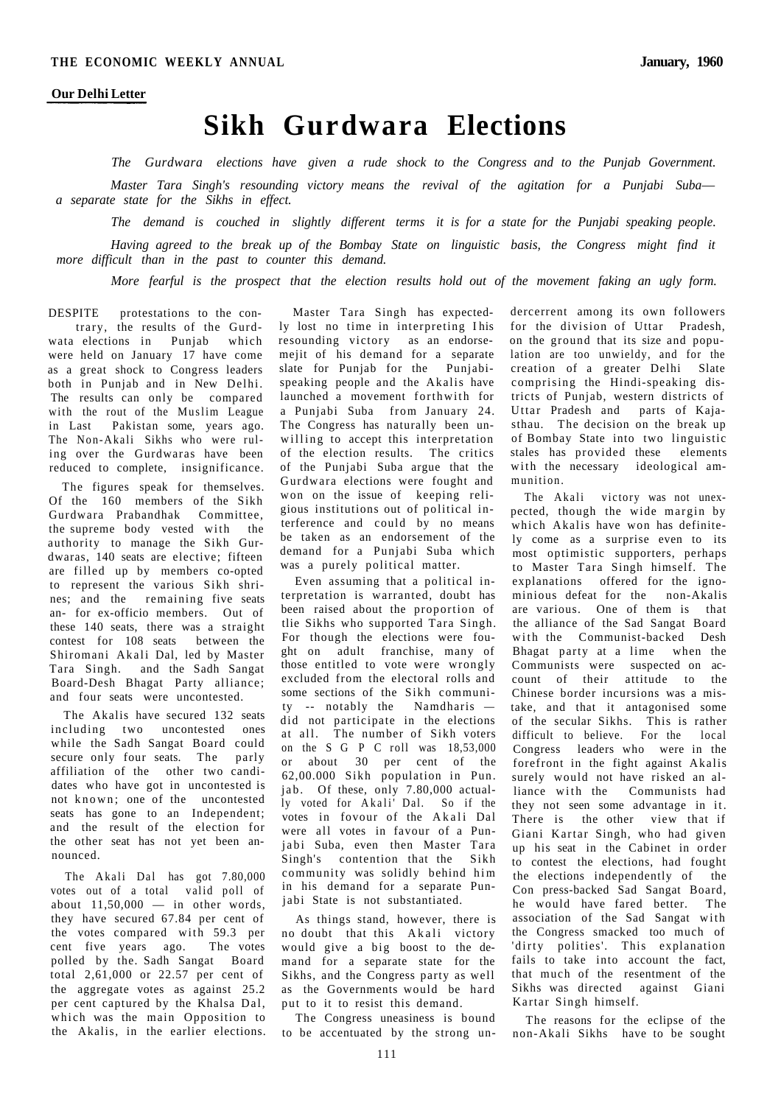## **Sikh Gurdwara Elections**

*The Gurdwara elections have given a rude shock to the Congress and to the Punjab Government.* 

*Master Tara Singh's resounding victory means the revival of the agitation for a Punjabi Suba a separate state for the Sikhs in effect.* 

*The demand is couched in slightly different terms it is for a state for the Punjabi speaking people.* 

*Having agreed to the break up of the Bombay State on linguistic basis, the Congress might find it more difficult than in the past to counter this demand.* 

*More fearful is the prospect that the election results hold out of the movement faking an ugly form.* 

DESPITE protestations to the contrary, the results of the Gurdwata elections in Punjab which were held on January 17 have come as a great shock to Congress leaders both in Punjab and in New Delhi. The results can only be compared with the rout of the Muslim League in Last Pakistan some, years ago. The Non-Akali Sikhs who were ruling over the Gurdwaras have been reduced to complete, insignificance.

The figures speak for themselves. Of the 160 members of the Sikh Gurdwara Prabandhak Committee, the supreme body vested with the authority to manage the Sikh Gurdwaras, 140 seats are elective; fifteen are filled up by members co-opted to represent the various Sikh shrines; and the remaining five seats an- for ex-officio members. Out of these 140 seats, there was a straight contest for 108 seats between the Shiromani Akali Dal, led by Master Tara Singh. and the Sadh Sangat Board-Desh Bhagat Party alliance; and four seats were uncontested.

The Akalis have secured 132 seats including two uncontested ones while the Sadh Sangat Board could secure only four seats. The parly affiliation of the other two candidates who have got in uncontested is not known; one of the uncontested seats has gone to an Independent; and the result of the election for the other seat has not yet been announced.

The Akali Dal has got 7.80,000 votes out of a total valid poll of about  $11,50,000 - in$  other words, they have secured 67.84 per cent of the votes compared with 59.3 per cent five years ago. The votes polled by the. Sadh Sangat Board total 2,61,000 or 22.57 per cent of the aggregate votes as against 25.2 per cent captured by the Khalsa Dal, which was the main Opposition to the Akalis, in the earlier elections.

Master Tara Singh has expectedly lost no time in interpreting I his resounding victory as an endorsemejit of his demand for a separate slate for Punjab for the Punjabispeaking people and the Akalis have launched a movement forthwith for a Punjabi Suba from January 24. The Congress has naturally been unwilling to accept this interpretation of the election results. The critics of the Punjabi Suba argue that the Gurdwara elections were fought and won on the issue of keeping religious institutions out of political interference and could by no means be taken as an endorsement of the demand for a Punjabi Suba which was a purely political matter.

Even assuming that a political interpretation is warranted, doubt has been raised about the proportion of tlie Sikhs who supported Tara Singh. For though the elections were fought on adult franchise, many of those entitled to vote were wrongly excluded from the electoral rolls and some sections of the Sikh community -- notably the Namdharis did not participate in the elections at all. The number of Sikh voters on the S G P C roll was 18,53,000 or about 30 per cent of the 62,00.000 Sikh population in Pun. jab. Of these, only 7.80,000 actually voted for Akali' Dal. So if the votes in fovour of the Akali Dal were all votes in favour of a Punjabi Suba, even then Master Tara Singh's contention that the Sikh community was solidly behind him in his demand for a separate Punjabi State is not substantiated.

As things stand, however, there is no doubt that this Akali victory would give a big boost to the demand for a separate state for the Sikhs, and the Congress party as well as the Governments would be hard put to it to resist this demand.

The Congress uneasiness is bound to be accentuated by the strong undercerrent among its own followers for the division of Uttar Pradesh, on the ground that its size and population are too unwieldy, and for the creation of a greater Delhi Slate comprising the Hindi-speaking districts of Punjab, western districts of Uttar Pradesh and parts of Kajasthau. The decision on the break up of Bombay State into two linguistic stales has provided these elements with the necessary ideological ammunition.

The Akali victory was not unexpected, though the wide margin by which Akalis have won has definitely come as a surprise even to its most optimistic supporters, perhaps to Master Tara Singh himself. The explanations offered for the ignominious defeat for the non-Akalis are various. One of them is that the alliance of the Sad Sangat Board with the Communist-backed Desh Bhagat party at a lime when the Communists were suspected on account of their attitude to the Chinese border incursions was a mistake, and that it antagonised some of the secular Sikhs. This is rather difficult to believe. For the local Congress leaders who were in the forefront in the fight against Akalis surely would not have risked an alliance with the Communists had they not seen some advantage in it. There is the other view that if Giani Kartar Singh, who had given up his seat in the Cabinet in order to contest the elections, had fought the elections independently of the Con press-backed Sad Sangat Board, he would have fared better. The association of the Sad Sangat with the Congress smacked too much of 'dirty polities'. This explanation fails to take into account the fact, that much of the resentment of the Sikhs was directed against Giani Kartar Singh himself.

The reasons for the eclipse of the non-Akali Sikhs have to be sought